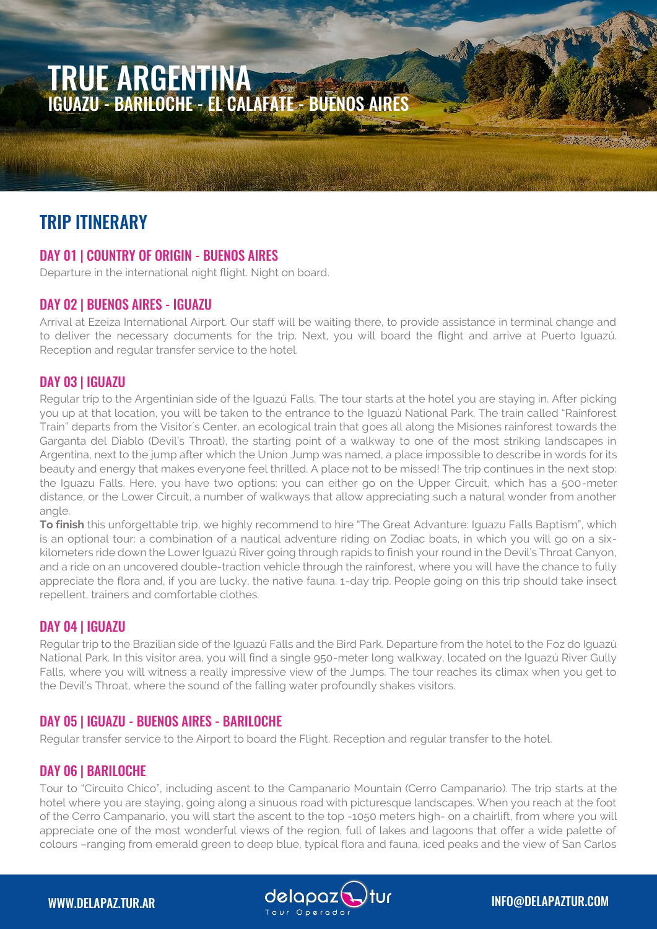# TRUE ARGENTINA IGUAZU - BARILOCHE - EL CALAFATE - BUENOS AIRES

# TRIP ITINERARY

# DAY 01 | COUNTRY OF ORIGIN - BUENOS AIRES

Departure in the international night flight. Night on board.

# DAY 02 | BUENOS AIRES - IGUAZU

Arrival at Ezeiza International Airport. Our staff will be waiting there, to provide assistance in terminal change and to deliver the necessary documents for the trip. Next, you will board the flight and arrive at Puerto Iguazú. Reception and regular transfer service to the hotel.

# DAY 03 | IGUAZU

Regular trip to the Argentinian side of the Iguazú Falls. The tour starts at the hotel you are staying in. After picking you up at that location, you will be taken to the entrance to the Iguazú National Park. The train called "Rainforest Train" departs from the Visitor´s Center, an ecological train that goes all along the Misiones rainforest towards the Garganta del Diablo (Devil's Throat), the starting point of a walkway to one of the most striking landscapes in Argentina, next to the jump after which the Union Jump was named, a place impossible to describe in words for its beauty and energy that makes everyone feel thrilled. A place not to be missed! The trip continues in the next stop: the Iguazu Falls. Here, you have two options: you can either go on the Upper Circuit, which has a 500-meter distance, or the Lower Circuit, a number of walkways that allow appreciating such a natural wonder from another angle

**To finish** this unforgettable trip, we highly recommend to hire "The Great Advanture: Iguazu Falls Baptism", which is an optional tour: a combination of a nautical adventure riding on Zodiac boats, in which you will go on a sixkilometers ride down the Lower Iguazú River going through rapids to finish your round in the Devil's Throat Canyon, and a ride on an uncovered double-traction vehicle through the rainforest, where you will have the chance to fully appreciate the flora and, if you are lucky, the native fauna. 1-day trip. People going on this trip should take insect repellent, trainers and comfortable clothes.

# DAY 04 | IGUAZU

Regular trip to the Brazilian side of the Iguazú Falls and the Bird Park. Departure from the hotel to the Foz do Iguazú National Park. In this visitor area, you will find a single 950-meter long walkway, located on the Iguazú River Gully Falls, where you will witness a really impressive view of the Jumps. The tour reaches its climax when you get to the Devil's Throat, where the sound of the falling water profoundly shakes visitors.

# DAY 05 | IGUAZU - BUENOS AIRES - BARILOCHE

Regular transfer service to the Airport to board the Flight. Reception and regular transfer to the hotel.

# DAY 06 | BARILOCHE

Tour to "Circuito Chico", including ascent to the Campanario Mountain (Cerro Campanario). The trip starts at the hotel where you are staying, going along a sinuous road with picturesque landscapes. When you reach at the foot of the Cerro Campanario, you will start the ascent to the top -1050 meters high- on a chairlift, from where you will appreciate one of the most wonderful views of the region, full of lakes and lagoons that offer a wide palette of colours –ranging from emerald green to deep blue, typical flora and fauna, iced peaks and the view of San Carlos

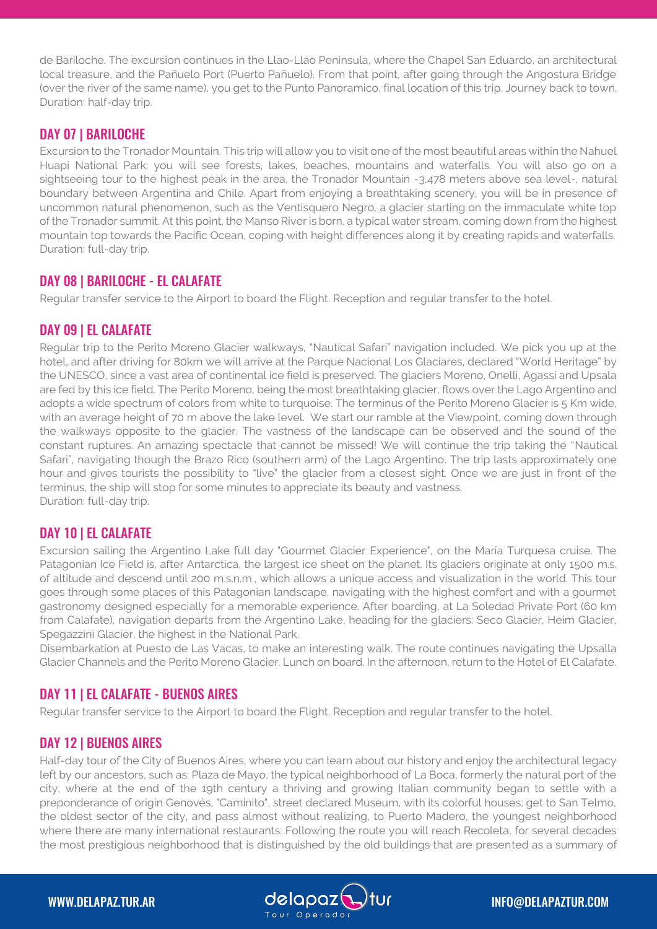de Bariloche. The excursion continues in the Llao-Llao Peninsula, where the Chapel San Eduardo, an architectural local treasure, and the Pañuelo Port (Puerto Pañuelo). From that point, after going through the Angostura Bridge (over the river of the same name), you get to the Punto Panoramico, final location of this trip. Journey back to town. Duration: half-day trip.

#### DAY 07 | BARILOCHE

Excursion to the Tronador Mountain*.* This trip will allow you to visit one of the most beautiful areas within the Nahuel Huapi National Park: you will see forests, lakes, beaches, mountains and waterfalls. You will also go on a sightseeing tour to the highest peak in the area, the Tronador Mountain -3,478 meters above sea level-, natural boundary between Argentina and Chile. Apart from enjoying a breathtaking scenery, you will be in presence of uncommon natural phenomenon, such as the Ventisquero Negro, a glacier starting on the immaculate white top of the Tronador summit. At this point, the Manso River is born, a typical water stream, coming down from the highest mountain top towards the Pacific Ocean, coping with height differences along it by creating rapids and waterfalls. Duration: full-day trip.

# DAY 08 | BARILOCHE - EL CALAFATE

Regular transfer service to the Airport to board the Flight. Reception and regular transfer to the hotel.

#### DAY 09 | EL CALAFATE

Regular trip to the Perito Moreno Glacier walkways, "Nautical Safari" navigation included. We pick you up at the hotel, and after driving for 80km we will arrive at the Parque Nacional Los Glaciares, declared "World Heritage" by the UNESCO, since a vast area of continental ice field is preserved. The glaciers Moreno, Onelli, Agassi and Upsala are fed by this ice field. The Perito Moreno, being the most breathtaking glacier, flows over the Lago Argentino and adopts a wide spectrum of colors from white to turquoise. The terminus of the Perito Moreno Glacier is 5 Km wide, with an average height of 70 m above the lake level. We start our ramble at the Viewpoint, coming down through the walkways opposite to the glacier. The vastness of the landscape can be observed and the sound of the constant ruptures. An amazing spectacle that cannot be missed! We will continue the trip taking the "Nautical Safari", navigating though the Brazo Rico (southern arm) of the Lago Argentino. The trip lasts approximately one hour and gives tourists the possibility to "live" the glacier from a closest sight. Once we are just in front of the terminus, the ship will stop for some minutes to appreciate its beauty and vastness. Duration: full-day trip.

# DAY 10 | EL CALAFATE

Excursion sailing the Argentino Lake full day "Gourmet Glacier Experience", on the María Turquesa cruise. The Patagonian Ice Field is, after Antarctica, the largest ice sheet on the planet. Its glaciers originate at only 1500 m.s. of altitude and descend until 200 m.s.n.m., which allows a unique access and visualization in the world. This tour goes through some places of this Patagonian landscape, navigating with the highest comfort and with a gourmet gastronomy designed especially for a memorable experience. After boarding, at La Soledad Private Port (60 km from Calafate), navigation departs from the Argentino Lake, heading for the glaciers: Seco Glacier, Heim Glacier, Spegazzini Glacier, the highest in the National Park.

Disembarkation at Puesto de Las Vacas, to make an interesting walk. The route continues navigating the Upsalla Glacier Channels and the Perito Moreno Glacier. Lunch on board. In the afternoon, return to the Hotel of El Calafate.

#### DAY 11 | EL CALAFATE - BUENOS AIRES

Regular transfer service to the Airport to board the Flight. Reception and regular transfer to the hotel.

# DAY 12 | BUENOS AIRES

Half-day tour of the City of Buenos Aires, where you can learn about our history and enjoy the architectural legacy left by our ancestors, such as: Plaza de Mayo, the typical neighborhood of La Boca, formerly the natural port of the city, where at the end of the 19th century a thriving and growing Italian community began to settle with a preponderance of origin Genovés, "Caminito", street declared Museum, with its colorful houses; get to San Telmo, the oldest sector of the city, and pass almost without realizing, to Puerto Madero, the youngest neighborhood where there are many international restaurants. Following the route you will reach Recoleta, for several decades the most prestigious neighborhood that is distinguished by the old buildings that are presented as a summary of